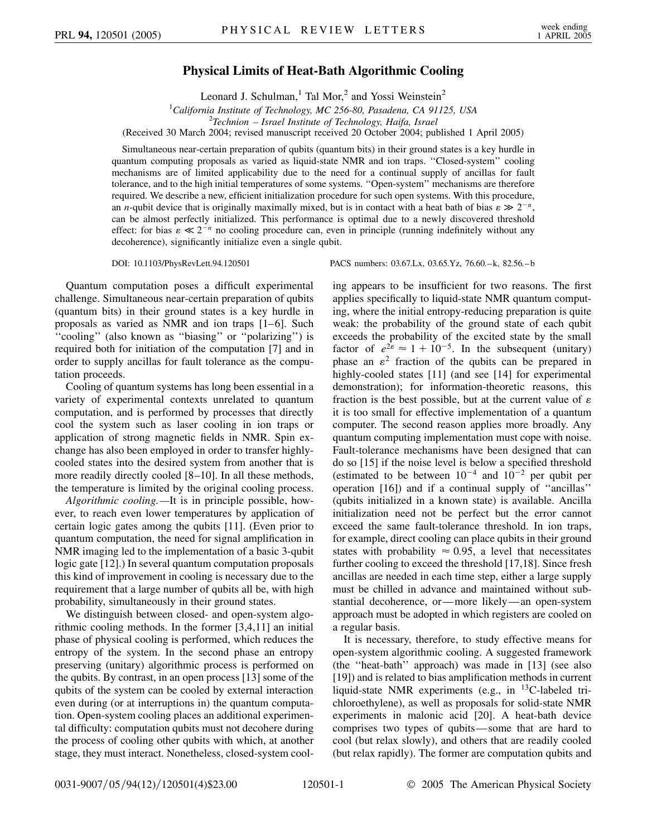## **Physical Limits of Heat-Bath Algorithmic Cooling**

Leonard J. Schulman,<sup>1</sup> Tal Mor,<sup>2</sup> and Yossi Weinstein<sup>2</sup>

<sup>1</sup>California Institute of Technology, MC 256-80, Pasadena, CA 91125, USA<br><sup>2</sup>Technion - Israel Institute of Technology, Haifa Israel

*Technion – Israel Institute of Technology, Haifa, Israel*

(Received 30 March 2004; revised manuscript received 20 October 2004; published 1 April 2005)

Simultaneous near-certain preparation of qubits (quantum bits) in their ground states is a key hurdle in quantum computing proposals as varied as liquid-state NMR and ion traps. ''Closed-system'' cooling mechanisms are of limited applicability due to the need for a continual supply of ancillas for fault tolerance, and to the high initial temperatures of some systems. ''Open-system'' mechanisms are therefore required. We describe a new, efficient initialization procedure for such open systems. With this procedure, an *n*-qubit device that is originally maximally mixed, but is in contact with a heat bath of bias  $\varepsilon \gg 2^{-n}$ , can be almost perfectly initialized. This performance is optimal due to a newly discovered threshold effect: for bias  $\epsilon \ll 2^{-n}$  no cooling procedure can, even in principle (running indefinitely without any decoherence), significantly initialize even a single qubit.

Quantum computation poses a difficult experimental challenge. Simultaneous near-certain preparation of qubits (quantum bits) in their ground states is a key hurdle in proposals as varied as NMR and ion traps [1–6]. Such ''cooling'' (also known as ''biasing'' or ''polarizing'') is required both for initiation of the computation [7] and in order to supply ancillas for fault tolerance as the computation proceeds.

Cooling of quantum systems has long been essential in a variety of experimental contexts unrelated to quantum computation, and is performed by processes that directly cool the system such as laser cooling in ion traps or application of strong magnetic fields in NMR. Spin exchange has also been employed in order to transfer highlycooled states into the desired system from another that is more readily directly cooled [8–10]. In all these methods, the temperature is limited by the original cooling process.

*Algorithmic cooling.—*It is in principle possible, however, to reach even lower temperatures by application of certain logic gates among the qubits [11]. (Even prior to quantum computation, the need for signal amplification in NMR imaging led to the implementation of a basic 3-qubit logic gate [12].) In several quantum computation proposals this kind of improvement in cooling is necessary due to the requirement that a large number of qubits all be, with high probability, simultaneously in their ground states.

We distinguish between closed- and open-system algorithmic cooling methods. In the former [3,4,11] an initial phase of physical cooling is performed, which reduces the entropy of the system. In the second phase an entropy preserving (unitary) algorithmic process is performed on the qubits. By contrast, in an open process [13] some of the qubits of the system can be cooled by external interaction even during (or at interruptions in) the quantum computation. Open-system cooling places an additional experimental difficulty: computation qubits must not decohere during the process of cooling other qubits with which, at another stage, they must interact. Nonetheless, closed-system cool-

DOI: 10.1103/PhysRevLett.94.120501 PACS numbers: 03.67.Lx, 03.65.Yz, 76.60.–k, 82.56.–b

ing appears to be insufficient for two reasons. The first applies specifically to liquid-state NMR quantum computing, where the initial entropy-reducing preparation is quite weak: the probability of the ground state of each qubit exceeds the probability of the excited state by the small factor of  $e^{2\varepsilon} \approx 1 + 10^{-5}$ . In the subsequent (unitary) phase an  $\varepsilon^2$  fraction of the qubits can be prepared in highly-cooled states [11] (and see [14] for experimental demonstration); for information-theoretic reasons, this fraction is the best possible, but at the current value of  $\varepsilon$ it is too small for effective implementation of a quantum computer. The second reason applies more broadly. Any quantum computing implementation must cope with noise. Fault-tolerance mechanisms have been designed that can do so [15] if the noise level is below a specified threshold (estimated to be between  $10^{-4}$  and  $10^{-2}$  per qubit per operation [16]) and if a continual supply of ''ancillas'' (qubits initialized in a known state) is available. Ancilla initialization need not be perfect but the error cannot exceed the same fault-tolerance threshold. In ion traps, for example, direct cooling can place qubits in their ground states with probability  $\approx 0.95$ , a level that necessitates further cooling to exceed the threshold [17,18]. Since fresh ancillas are needed in each time step, either a large supply must be chilled in advance and maintained without substantial decoherence, or—more likely—an open-system approach must be adopted in which registers are cooled on a regular basis.

It is necessary, therefore, to study effective means for open-system algorithmic cooling. A suggested framework (the ''heat-bath'' approach) was made in [13] (see also [19]) and is related to bias amplification methods in current liquid-state NMR experiments (e.g., in  $^{13}$ C-labeled trichloroethylene), as well as proposals for solid-state NMR experiments in malonic acid [20]. A heat-bath device comprises two types of qubits—some that are hard to cool (but relax slowly), and others that are readily cooled (but relax rapidly). The former are computation qubits and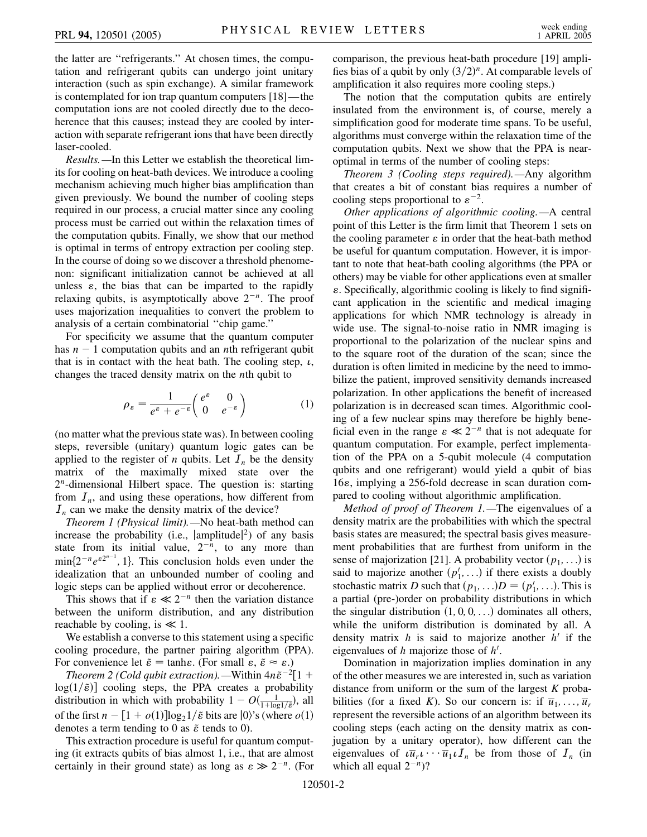the latter are ''refrigerants.'' At chosen times, the computation and refrigerant qubits can undergo joint unitary interaction (such as spin exchange). A similar framework is contemplated for ion trap quantum computers [18]—the computation ions are not cooled directly due to the decoherence that this causes; instead they are cooled by interaction with separate refrigerant ions that have been directly laser-cooled.

*Results.—*In this Letter we establish the theoretical limits for cooling on heat-bath devices. We introduce a cooling mechanism achieving much higher bias amplification than given previously. We bound the number of cooling steps required in our process, a crucial matter since any cooling process must be carried out within the relaxation times of the computation qubits. Finally, we show that our method is optimal in terms of entropy extraction per cooling step. In the course of doing so we discover a threshold phenomenon: significant initialization cannot be achieved at all unless  $\varepsilon$ , the bias that can be imparted to the rapidly relaxing qubits, is asymptotically above  $2^{-n}$ . The proof uses majorization inequalities to convert the problem to analysis of a certain combinatorial ''chip game.''

For specificity we assume that the quantum computer has  $n - 1$  computation qubits and an *n*th refrigerant qubit that is in contact with the heat bath. The cooling step,  $\iota$ , changes the traced density matrix on the *n*th qubit to

$$
\rho_{\varepsilon} = \frac{1}{e^{\varepsilon} + e^{-\varepsilon}} \begin{pmatrix} e^{\varepsilon} & 0\\ 0 & e^{-\varepsilon} \end{pmatrix}
$$
 (1)

(no matter what the previous state was). In between cooling steps, reversible (unitary) quantum logic gates can be applied to the register of *n* qubits. Let  $I_n$  be the density matrix of the maximally mixed state over the 2*n*-dimensional Hilbert space. The question is: starting from  $I_n$ , and using these operations, how different from  $I_n$  can we make the density matrix of the device?

*Theorem 1 (Physical limit).—*No heat-bath method can increase the probability (i.e.,  $|\text{amplitude}|^2$ ) of any basis state from its initial value,  $2^{-n}$ , to any more than  $\min\{2^{-n}e^{\varepsilon 2^{n-1}}, 1\}$ . This conclusion holds even under the idealization that an unbounded number of cooling and logic steps can be applied without error or decoherence.

This shows that if  $\varepsilon \ll 2^{-n}$  then the variation distance between the uniform distribution, and any distribution reachable by cooling, is  $\ll 1$ .

We establish a converse to this statement using a specific cooling procedure, the partner pairing algorithm (PPA). For convenience let  $\tilde{\varepsilon} = \tanh \varepsilon$ . (For small  $\varepsilon$ ,  $\tilde{\varepsilon} \approx \varepsilon$ .)

*Theorem 2 (Cold qubit extraction).*—Within  $4n\tilde{\epsilon}^{-2}[1+$  $log(1/\tilde{\epsilon})$  cooling steps, the PPA creates a probability distribution in which with probability  $1 - O(\frac{1}{1 + \log_1{\ell}})$ , all of the first  $n - [1 + o(1)]\log_2 1/\tilde{\varepsilon}$  bits are  $|0\rangle$ 's (where  $o(1)$ ) denotes a term tending to 0 as  $\tilde{\varepsilon}$  tends to 0).

This extraction procedure is useful for quantum computing (it extracts qubits of bias almost 1, i.e., that are almost certainly in their ground state) as long as  $\varepsilon \gg 2^{-n}$ . (For comparison, the previous heat-bath procedure [19] amplifies bias of a qubit by only  $(3/2)^n$ . At comparable levels of amplification it also requires more cooling steps.)

The notion that the computation qubits are entirely insulated from the environment is, of course, merely a simplification good for moderate time spans. To be useful, algorithms must converge within the relaxation time of the computation qubits. Next we show that the PPA is nearoptimal in terms of the number of cooling steps:

*Theorem 3 (Cooling steps required).—*Any algorithm that creates a bit of constant bias requires a number of cooling steps proportional to  $\varepsilon^{-2}$ .

*Other applications of algorithmic cooling.—*A central point of this Letter is the firm limit that Theorem 1 sets on the cooling parameter  $\varepsilon$  in order that the heat-bath method be useful for quantum computation. However, it is important to note that heat-bath cooling algorithms (the PPA or others) may be viable for other applications even at smaller  $\epsilon$ . Specifically, algorithmic cooling is likely to find significant application in the scientific and medical imaging applications for which NMR technology is already in wide use. The signal-to-noise ratio in NMR imaging is proportional to the polarization of the nuclear spins and to the square root of the duration of the scan; since the duration is often limited in medicine by the need to immobilize the patient, improved sensitivity demands increased polarization. In other applications the benefit of increased polarization is in decreased scan times. Algorithmic cooling of a few nuclear spins may therefore be highly beneficial even in the range  $\varepsilon \ll 2^{-n}$  that is not adequate for quantum computation. For example, perfect implementation of the PPA on a 5-qubit molecule (4 computation qubits and one refrigerant) would yield a qubit of bias 16 $\varepsilon$ , implying a 256-fold decrease in scan duration compared to cooling without algorithmic amplification.

*Method of proof of Theorem 1.—*The eigenvalues of a density matrix are the probabilities with which the spectral basis states are measured; the spectral basis gives measurement probabilities that are furthest from uniform in the sense of majorization [21]. A probability vector  $(p_1, \ldots)$  is said to majorize another  $(p'_1, \ldots)$  if there exists a doubly stochastic matrix *D* such that  $(p_1, \ldots)D = (p'_1, \ldots)$ . This is a partial (pre-)order on probability distributions in which the singular distribution  $(1, 0, 0, ...)$  dominates all others, while the uniform distribution is dominated by all. A density matrix  $h$  is said to majorize another  $h'$  if the eigenvalues of  $h$  majorize those of  $h'$ .

Domination in majorization implies domination in any of the other measures we are interested in, such as variation distance from uniform or the sum of the largest *K* probabilities (for a fixed *K*). So our concern is: if  $\overline{u}_1, \ldots, \overline{u}_r$ represent the reversible actions of an algorithm between its cooling steps (each acting on the density matrix as conjugation by a unitary operator), how different can the eigenvalues of  $\overline{u}_r \cdots \overline{u}_1 \iota \overline{I}_n$  be from those of  $\overline{I}_n$  (in which all equal  $2^{-n}$ ?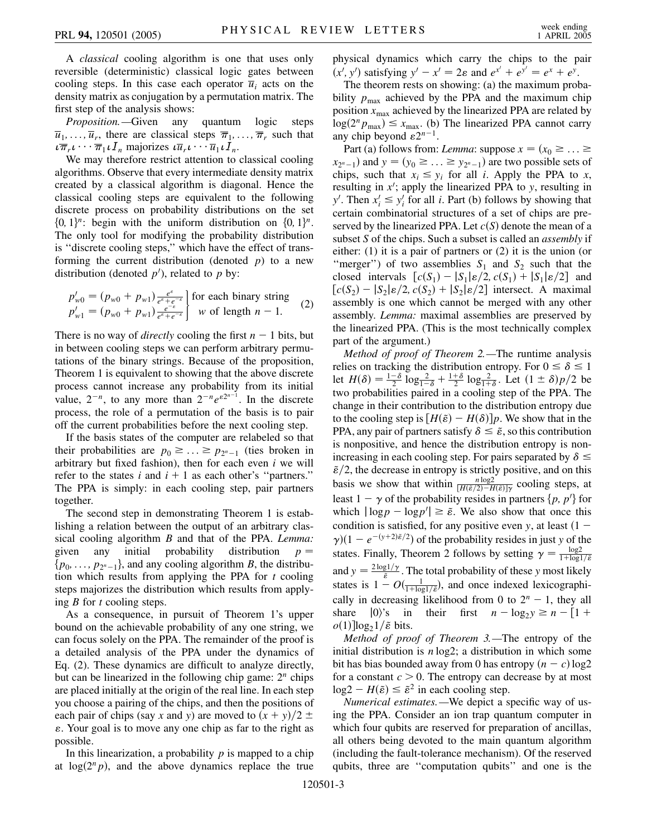A *classical* cooling algorithm is one that uses only reversible (deterministic) classical logic gates between cooling steps. In this case each operator  $\overline{u_i}$  acts on the density matrix as conjugation by a permutation matrix. The first step of the analysis shows:

*Proposition.—*Given any quantum logic steps  $\overline{u}_1, \ldots, \overline{u}_r$ , there are classical steps  $\overline{\pi}_1, \ldots, \overline{\pi}_r$  such that  $i\overline{\pi}_r \iota \cdots \overline{\pi}_1 \iota \mathcal{I}_n$  majorizes  $i\overline{u}_r \iota \cdots \overline{u}_1 \iota \mathcal{I}_n$ .

We may therefore restrict attention to classical cooling algorithms. Observe that every intermediate density matrix created by a classical algorithm is diagonal. Hence the classical cooling steps are equivalent to the following discrete process on probability distributions on the set  $\{0, 1\}^n$ : begin with the uniform distribution on  $\{0, 1\}^n$ . The only tool for modifying the probability distribution is ''discrete cooling steps,'' which have the effect of transforming the current distribution (denoted *p*) to a new distribution (denoted  $p'$ ), related to  $p$  by:

$$
p'_{w0} = (p_{w0} + p_{w1}) \frac{e^{\varepsilon}}{e^{\varepsilon} + e^{-\varepsilon}} \text{ for each binary string}
$$
  
\n
$$
p'_{w1} = (p_{w0} + p_{w1}) \frac{e^{-\varepsilon}}{e^{\varepsilon} + e^{-\varepsilon}} \quad w \text{ of length } n - 1.
$$
 (2)

There is no way of *directly* cooling the first  $n - 1$  bits, but in between cooling steps we can perform arbitrary permutations of the binary strings. Because of the proposition, Theorem 1 is equivalent to showing that the above discrete process cannot increase any probability from its initial value,  $2^{-n}$ , to any more than  $2^{-n}e^{\varepsilon 2^{n-1}}$ . In the discrete process, the role of a permutation of the basis is to pair off the current probabilities before the next cooling step.

If the basis states of the computer are relabeled so that their probabilities are  $p_0 \geq \ldots \geq p_{2^n-1}$  (ties broken in arbitrary but fixed fashion), then for each even *i* we will refer to the states  $i$  and  $i + 1$  as each other's "partners." The PPA is simply: in each cooling step, pair partners together.

The second step in demonstrating Theorem 1 is establishing a relation between the output of an arbitrary classical cooling algorithm *B* and that of the PPA. *Lemma:* given any initial probability distribution  $p =$  ${p_0, \ldots, p_{2^n-1}}$ , and any cooling algorithm *B*, the distribution which results from applying the PPA for *t* cooling steps majorizes the distribution which results from applying *B* for *t* cooling steps.

As a consequence, in pursuit of Theorem 1's upper bound on the achievable probability of any one string, we can focus solely on the PPA. The remainder of the proof is a detailed analysis of the PPA under the dynamics of Eq. (2). These dynamics are difficult to analyze directly, but can be linearized in the following chip game: 2*<sup>n</sup>* chips are placed initially at the origin of the real line. In each step you choose a pairing of the chips, and then the positions of each pair of chips (say *x* and *y*) are moved to  $(x + y)/2 \pm$  $\epsilon$ . Your goal is to move any one chip as far to the right as possible.

In this linearization, a probability  $p$  is mapped to a chip at  $log(2^n p)$ , and the above dynamics replace the true physical dynamics which carry the chips to the pair  $(x', y')$  satisfying  $y' - x' = 2\varepsilon$  and  $e^{x'} + e^{y'} = e^x + e^y$ .

The theorem rests on showing: (a) the maximum probability  $p_{\text{max}}$  achieved by the PPA and the maximum chip position  $x_{\text{max}}$  achieved by the linearized PPA are related by  $log(2^n p_{\text{max}}) \le x_{\text{max}}$ . (b) The linearized PPA cannot carry any chip beyond  $\varepsilon 2^{n-1}$ .

Part (a) follows from: *Lemma*: suppose  $x = (x_0 \ge ... \ge x_n)$  $(x_{2^n-1})$  and  $y = (y_0 \ge ... \ge y_{2^n-1})$  are two possible sets of chips, such that  $x_i \leq y_i$  for all *i*. Apply the PPA to *x*, resulting in x'; apply the linearized PPA to y, resulting in *y*<sup> $\prime$ </sup>. Then  $x_i' \leq y_i'$  for all *i*. Part (b) follows by showing that certain combinatorial structures of a set of chips are preserved by the linearized PPA. Let  $c(S)$  denote the mean of a subset *S* of the chips. Such a subset is called an *assembly* if either: (1) it is a pair of partners or (2) it is the union (or "merger") of two assemblies  $S_1$  and  $S_2$  such that the closed intervals  $[c(S_1) - |S_1| \varepsilon/2, c(S_1) + |S_1| \varepsilon/2]$  and  $[c(S_2) - |S_2|\varepsilon/2, c(S_2) + |S_2|\varepsilon/2]$  intersect. A maximal assembly is one which cannot be merged with any other assembly. *Lemma:* maximal assemblies are preserved by the linearized PPA. (This is the most technically complex part of the argument.)

*Method of proof of Theorem 2.—*The runtime analysis relies on tracking the distribution entropy. For  $0 \le \delta \le 1$ let  $H(\delta) = \frac{1-\delta}{2} \log_{\frac{1}{\delta}} \frac{1+\delta}{2} \log_{\frac{1}{\delta}} \frac{1+\delta}{2}$ . Let  $(1 \pm \delta)p/2$  be two probabilities paired in a cooling step of the PPA. The change in their contribution to the distribution entropy due to the cooling step is  $[H(\tilde{\varepsilon}) - H(\delta)]p$ . We show that in the PPA, any pair of partners satisfy  $\delta \leq \tilde{\epsilon}$ , so this contribution is nonpositive, and hence the distribution entropy is nonincreasing in each cooling step. For pairs separated by  $\delta \leq$  $\frac{\tilde{\varepsilon}}{2}$ , the decrease in entropy is strictly positive, and on this basis we show that within  $\frac{n \log 2}{[H(\tilde{\varepsilon}/2) - H(\tilde{\varepsilon})] \gamma}$  cooling steps, at least  $1 - \gamma$  of the probability resides in partners  $\{p, p'\}$  for which  $|\log p - \log p'| \ge \tilde{\varepsilon}$ . We also show that once this condition is satisfied, for any positive even *y*, at least  $(1 \gamma$ )(1 –  $e^{-(y+2)\tilde{\varepsilon}/2}$ ) of the probability resides in just *y* of the states. Finally, Theorem 2 follows by setting  $\gamma = \frac{\log 2}{1 + \log 1/\tilde{\varepsilon}}$ and  $y = \frac{2 \log 1/\gamma}{\tilde{\epsilon}}$ . The total probability of these *y* most likely states is  $1 - O(\frac{1}{1 + \log_1{\delta}})$ , and once indexed lexicographically in decreasing likelihood from 0 to  $2^n - 1$ , they all share  $|0\rangle$ 's in their first  $n - \log_2 y \ge n - [1 +$  $o(1)$ ]log<sub>2</sub>1/ $\tilde{\epsilon}$  bits.

*Method of proof of Theorem 3.—*The entropy of the initial distribution is *n* log2; a distribution in which some bit has bias bounded away from 0 has entropy  $(n - c) \log 2$ for a constant  $c > 0$ . The entropy can decrease by at most  $log2 - H(\tilde{\varepsilon}) \leq \tilde{\varepsilon}^2$  in each cooling step.

*Numerical estimates.—*We depict a specific way of using the PPA. Consider an ion trap quantum computer in which four qubits are reserved for preparation of ancillas, all others being devoted to the main quantum algorithm (including the fault-tolerance mechanism). Of the reserved qubits, three are ''computation qubits'' and one is the